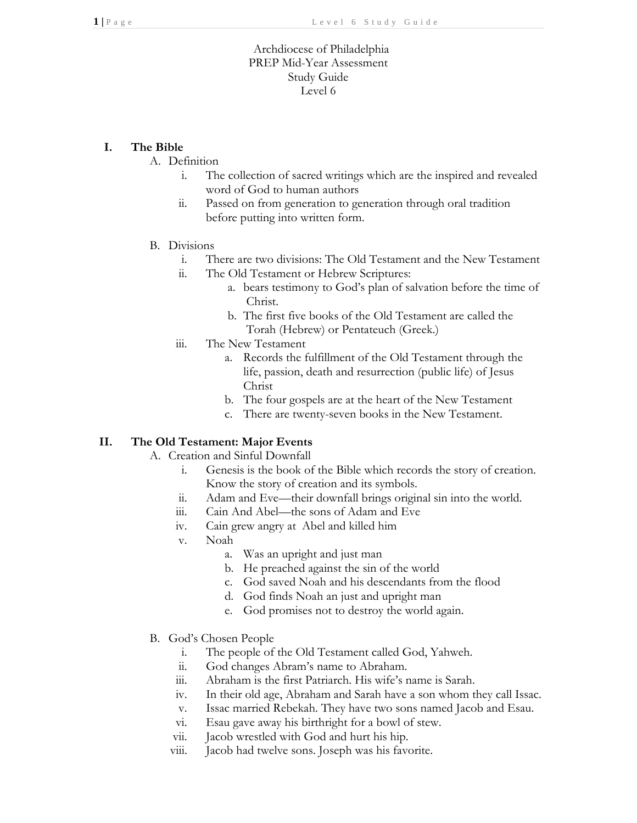# Archdiocese of Philadelphia PREP Mid-Year Assessment Study Guide Level 6

## **I. The Bible**

## A. Definition

- i. The collection of sacred writings which are the inspired and revealed word of God to human authors
- ii. Passed on from generation to generation through oral tradition before putting into written form.

#### B. Divisions

- i. There are two divisions: The Old Testament and the New Testament
- ii. The Old Testament or Hebrew Scriptures:
	- a. bears testimony to God's plan of salvation before the time of Christ.
	- b. The first five books of the Old Testament are called the Torah (Hebrew) or Pentateuch (Greek.)
- iii. The New Testament
	- a. Records the fulfillment of the Old Testament through the life, passion, death and resurrection (public life) of Jesus Christ
	- b. The four gospels are at the heart of the New Testament
	- c. There are twenty-seven books in the New Testament.

## **II. The Old Testament: Major Events**

- A. Creation and Sinful Downfall
	- i. Genesis is the book of the Bible which records the story of creation. Know the story of creation and its symbols.
	- ii. Adam and Eve—their downfall brings original sin into the world.
	- iii. Cain And Abel—the sons of Adam and Eve
	- iv. Cain grew angry at Abel and killed him
	- v. Noah
		- a. Was an upright and just man
		- b. He preached against the sin of the world
		- c. God saved Noah and his descendants from the flood
		- d. God finds Noah an just and upright man
		- e. God promises not to destroy the world again.
- B. God's Chosen People
	- i. The people of the Old Testament called God, Yahweh.
	- ii. God changes Abram's name to Abraham.
	- iii. Abraham is the first Patriarch. His wife's name is Sarah.
	- iv. In their old age, Abraham and Sarah have a son whom they call Issac.
	- v. Issac married Rebekah. They have two sons named Jacob and Esau.
	- vi. Esau gave away his birthright for a bowl of stew.
	- vii. Jacob wrestled with God and hurt his hip.
	- viii. Jacob had twelve sons. Joseph was his favorite.